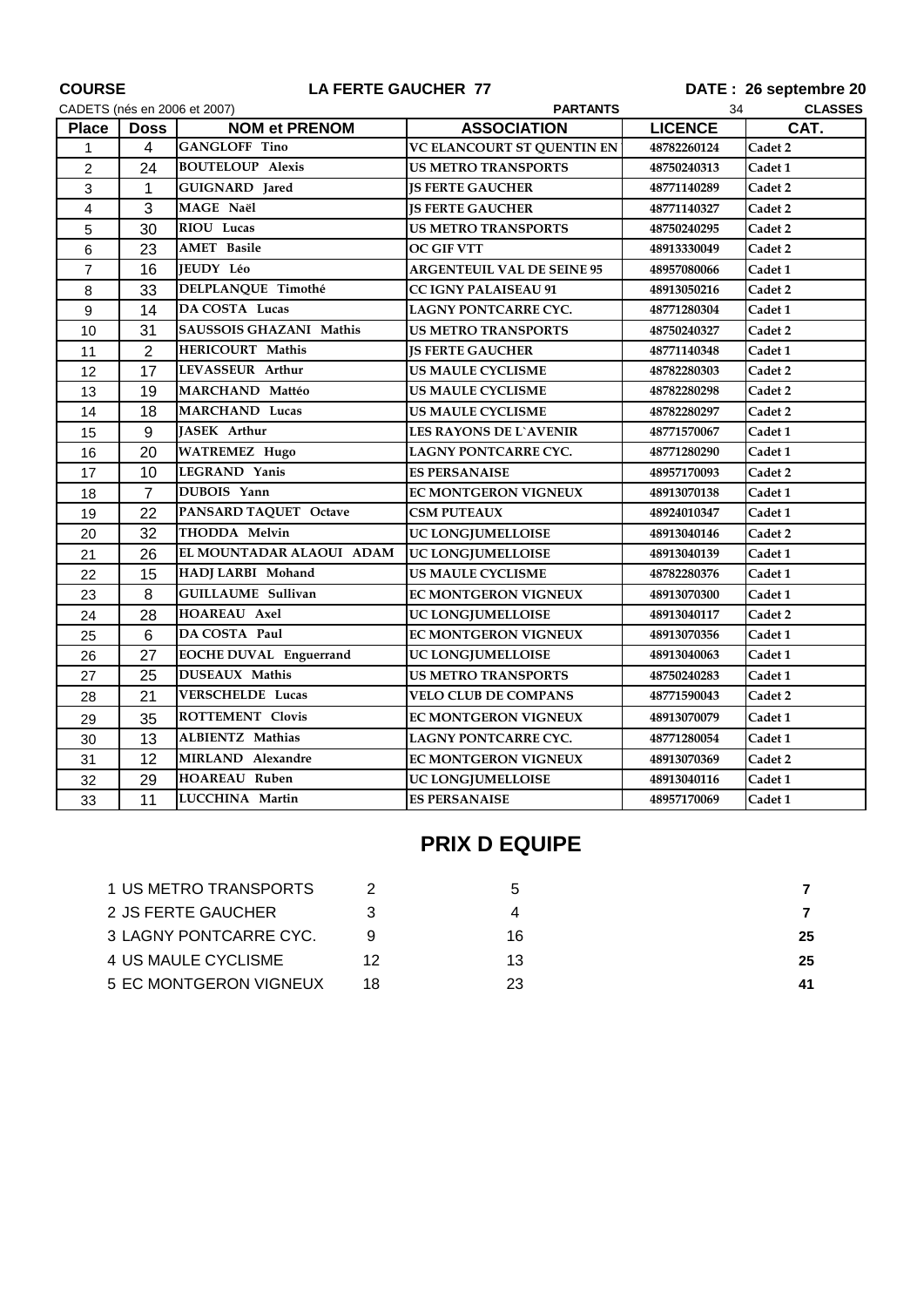| <b>COURSE</b><br>CADETS (nés en 2006 et 2007) |                | LA FERTE GAUCHER 77           |                                       | DATE: 26 septembre 20<br><b>CLASSES</b><br>34 |         |
|-----------------------------------------------|----------------|-------------------------------|---------------------------------------|-----------------------------------------------|---------|
| <b>Place</b>                                  | <b>Doss</b>    | <b>NOM et PRENOM</b>          | <b>PARTANTS</b><br><b>ASSOCIATION</b> | <b>LICENCE</b>                                | CAT.    |
| 1                                             | $\overline{4}$ | <b>GANGLOFF Tino</b>          | VC ELANCOURT ST QUENTIN EN            | 48782260124                                   | Cadet 2 |
| $\overline{c}$                                | 24             | <b>BOUTELOUP Alexis</b>       | <b>US METRO TRANSPORTS</b>            | 48750240313                                   | Cadet 1 |
| 3                                             | 1              | <b>GUIGNARD</b> Jared         | <b>IS FERTE GAUCHER</b>               | 48771140289                                   | Cadet 2 |
| 4                                             | 3              | MAGE Naël                     | <b>JS FERTE GAUCHER</b>               | 48771140327                                   | Cadet 2 |
| 5                                             | 30             | RIOU Lucas                    | <b>US METRO TRANSPORTS</b>            | 48750240295                                   | Cadet 2 |
| 6                                             | 23             | <b>AMET</b> Basile            | <b>OC GIF VTT</b>                     | 48913330049                                   | Cadet 2 |
| $\overline{7}$                                | 16             | <b>JEUDY Léo</b>              | <b>ARGENTEUIL VAL DE SEINE 95</b>     | 48957080066                                   | Cadet 1 |
| 8                                             | 33             | DELPLANQUE Timothé            | <b>CC IGNY PALAISEAU 91</b>           | 48913050216                                   | Cadet 2 |
| $9\,$                                         | 14             | DA COSTA Lucas                | <b>LAGNY PONTCARRE CYC.</b>           | 48771280304                                   | Cadet 1 |
| 10                                            | 31             | SAUSSOIS GHAZANI Mathis       | <b>US METRO TRANSPORTS</b>            | 48750240327                                   | Cadet 2 |
| 11                                            | 2              | HERICOURT Mathis              | <b>JS FERTE GAUCHER</b>               | 48771140348                                   | Cadet 1 |
| 12                                            | 17             | LEVASSEUR Arthur              | US MAULE CYCLISME                     | 48782280303                                   | Cadet 2 |
| 13                                            | 19             | MARCHAND Mattéo               | <b>US MAULE CYCLISME</b>              | 48782280298                                   | Cadet 2 |
| 14                                            | 18             | <b>MARCHAND Lucas</b>         | <b>US MAULE CYCLISME</b>              | 48782280297                                   | Cadet 2 |
| 15                                            | 9              | <b>JASEK</b> Arthur           | <b>LES RAYONS DE L`AVENIR</b>         | 48771570067                                   | Cadet 1 |
| 16                                            | 20             | <b>WATREMEZ Hugo</b>          | LAGNY PONTCARRE CYC.                  | 48771280290                                   | Cadet 1 |
| 17                                            | 10             | LEGRAND Yanis                 | <b>ES PERSANAISE</b>                  | 48957170093                                   | Cadet 2 |
| 18                                            | $\overline{7}$ | DUBOIS Yann                   | <b>EC MONTGERON VIGNEUX</b>           | 48913070138                                   | Cadet 1 |
| 19                                            | 22             | PANSARD TAQUET Octave         | <b>CSM PUTEAUX</b>                    | 48924010347                                   | Cadet 1 |
| 20                                            | 32             | THODDA Melvin                 | UC LONGJUMELLOISE                     | 48913040146                                   | Cadet 2 |
| 21                                            | 26             | EL MOUNTADAR ALAOUI ADAM      | <b>UC LONGJUMELLOISE</b>              | 48913040139                                   | Cadet 1 |
| 22                                            | 15             | HADJ LARBI Mohand             | <b>US MAULE CYCLISME</b>              | 48782280376                                   | Cadet 1 |
| 23                                            | 8              | <b>GUILLAUME Sullivan</b>     | <b>EC MONTGERON VIGNEUX</b>           | 48913070300                                   | Cadet 1 |
| 24                                            | 28             | <b>HOAREAU Axel</b>           | <b>UC LONGJUMELLOISE</b>              | 48913040117                                   | Cadet 2 |
| 25                                            | 6              | DA COSTA Paul                 | <b>EC MONTGERON VIGNEUX</b>           | 48913070356                                   | Cadet 1 |
| 26                                            | 27             | <b>EOCHE DUVAL Enguerrand</b> | UC LONGJUMELLOISE                     | 48913040063                                   | Cadet 1 |
| 27                                            | 25             | <b>DUSEAUX Mathis</b>         | <b>US METRO TRANSPORTS</b>            | 48750240283                                   | Cadet 1 |
| 28                                            | 21             | VERSCHELDE Lucas              | <b>VELO CLUB DE COMPANS</b>           | 48771590043                                   | Cadet 2 |
| 29                                            | 35             | <b>ROTTEMENT Clovis</b>       | <b>EC MONTGERON VIGNEUX</b>           | 48913070079                                   | Cadet 1 |
| 30                                            | 13             | <b>ALBIENTZ Mathias</b>       | <b>LAGNY PONTCARRE CYC.</b>           | 48771280054                                   | Cadet 1 |
| 31                                            | 12             | MIRLAND Alexandre             | <b>EC MONTGERON VIGNEUX</b>           | 48913070369                                   | Cadet 2 |
| 32                                            | 29             | <b>HOAREAU Ruben</b>          | <b>UC LONGJUMELLOISE</b>              | 48913040116                                   | Cadet 1 |
| 33                                            | 11             | LUCCHINA Martin               | <b>ES PERSANAISE</b>                  | 48957170069                                   | Cadet 1 |

## **PRIX D EQUIPE**

| 1 US METRO TRANSPORTS  |    | h  |    |
|------------------------|----|----|----|
| 2 JS FERTE GAUCHER     |    |    |    |
| 3 LAGNY PONTCARRE CYC. |    | 16 | 25 |
| 4 US MAULE CYCLISME    | 12 | 13 | 25 |
| 5 EC MONTGERON VIGNEUX | 18 | 23 | 41 |